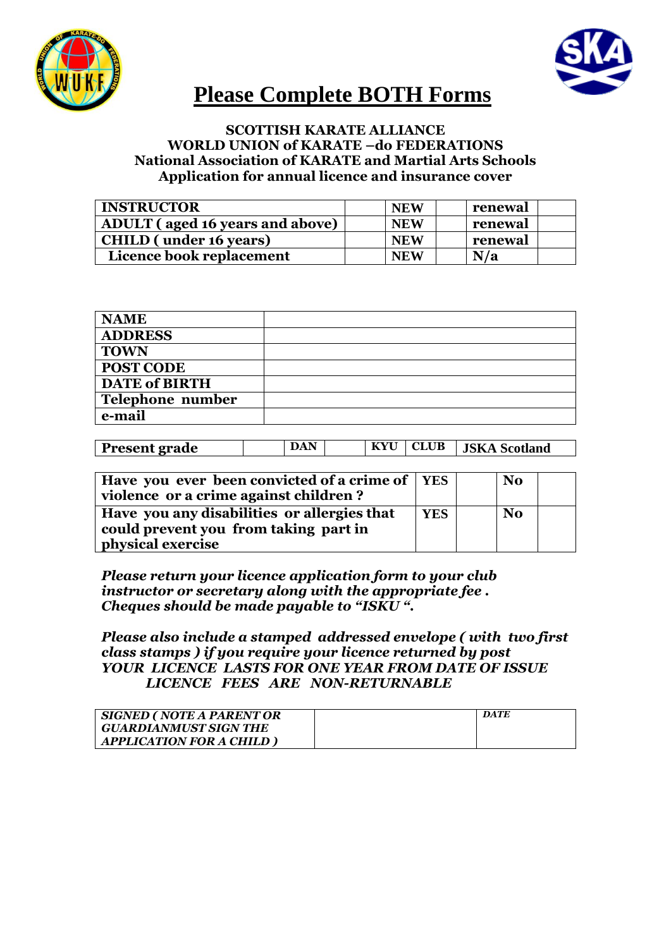



## **Please Complete BOTH Forms**

## **SCOTTISH KARATE ALLIANCE WORLD UNION of KARATE –do FEDERATIONS National Association of KARATE and Martial Arts Schools Application for annual licence and insurance cover**

| <b>INSTRUCTOR</b>                      | <b>NEW</b> | renewal |
|----------------------------------------|------------|---------|
| <b>ADULT</b> (aged 16 years and above) | <b>NEW</b> | renewal |
| <b>CHILD</b> (under 16 years)          | <b>NEW</b> | renewal |
| Licence book replacement               | <b>NEW</b> | N/a     |

| <b>NAME</b>          |  |
|----------------------|--|
| <b>ADDRESS</b>       |  |
| <b>TOWN</b>          |  |
| <b>POST CODE</b>     |  |
| <b>DATE of BIRTH</b> |  |
| Telephone number     |  |
| e-mail               |  |

| <b>Present grade</b> | <b>DAN</b> |  | KYU   CLUB   JSKA Scotland |
|----------------------|------------|--|----------------------------|

| Have you ever been convicted of a crime of   YES<br>violence or a crime against children?                 |            | <b>No</b> |
|-----------------------------------------------------------------------------------------------------------|------------|-----------|
| Have you any disabilities or allergies that<br>could prevent you from taking part in<br>physical exercise | <b>YES</b> | <b>No</b> |

*Please return your licence application form to your club instructor or secretary along with the appropriate fee . Cheques should be made payable to "ISKU ".*

## *Please also include a stamped addressed envelope ( with two first class stamps ) if you require your licence returned by post YOUR LICENCE LASTS FOR ONE YEAR FROM DATE OF ISSUE LICENCE FEES ARE NON-RETURNABLE*

| <b>SIGNED (NOTE A PARENT OR</b> | DATE |
|---------------------------------|------|
| <b>GUARDIANMUST SIGN THE</b>    |      |
| <b>APPLICATION FOR A CHILD</b>  |      |